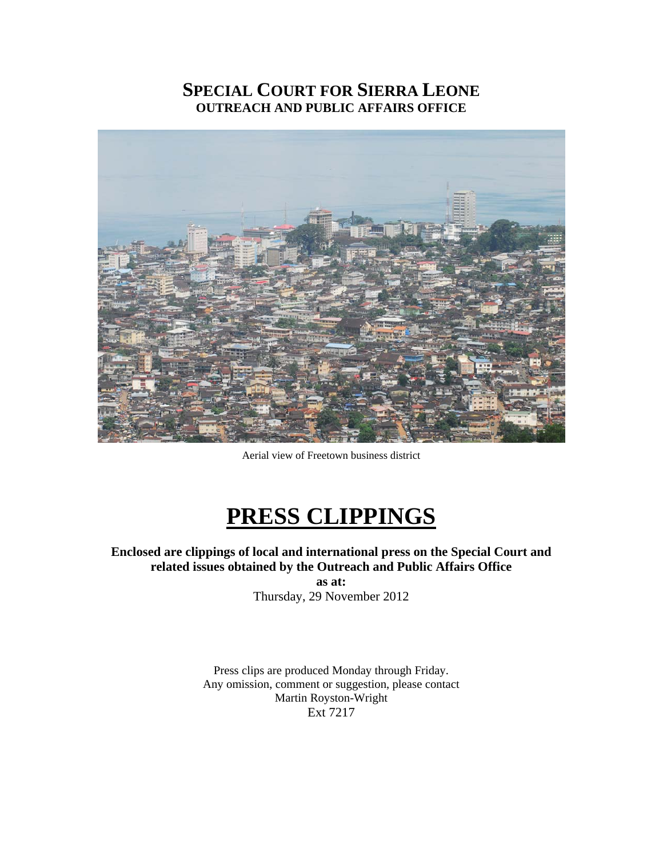# **SPECIAL COURT FOR SIERRA LEONE OUTREACH AND PUBLIC AFFAIRS OFFICE**



Aerial view of Freetown business district

# **PRESS CLIPPINGS**

**Enclosed are clippings of local and international press on the Special Court and related issues obtained by the Outreach and Public Affairs Office as at:**  Thursday, 29 November 2012

Press clips are produced Monday through Friday. Any omission, comment or suggestion, please contact Martin Royston-Wright Ext 7217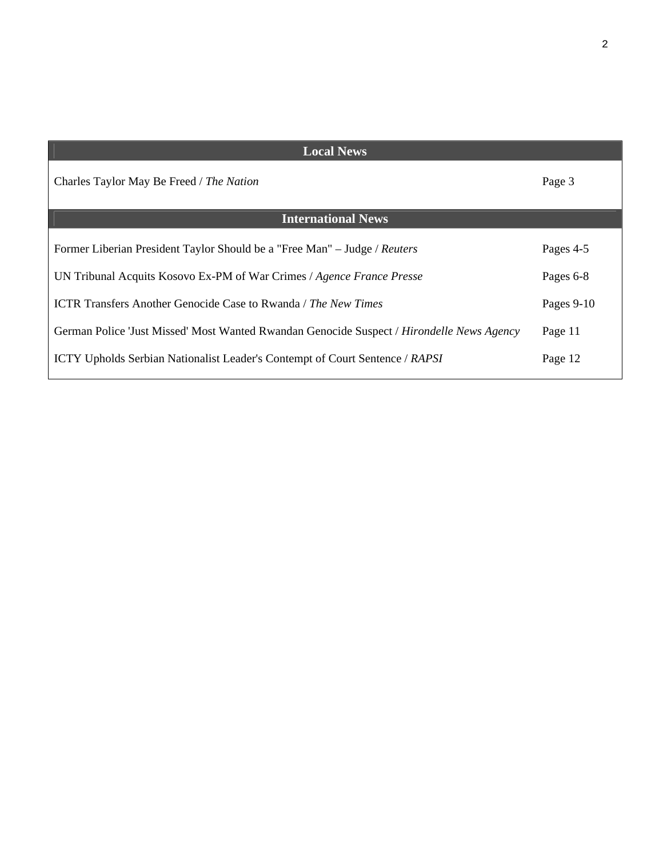| <b>Local News</b>                                                                         |            |
|-------------------------------------------------------------------------------------------|------------|
| Charles Taylor May Be Freed / The Nation                                                  | Page 3     |
| <b>International News</b>                                                                 |            |
| Former Liberian President Taylor Should be a "Free Man" – Judge / Reuters                 | Pages 4-5  |
| UN Tribunal Acquits Kosovo Ex-PM of War Crimes / Agence France Presse                     | Pages 6-8  |
| <b>ICTR Transfers Another Genocide Case to Rwanda</b> / The New Times                     | Pages 9-10 |
| German Police 'Just Missed' Most Wanted Rwandan Genocide Suspect / Hirondelle News Agency | Page 11    |
| <b>ICTY Upholds Serbian Nationalist Leader's Contempt of Court Sentence / RAPSI</b>       | Page 12    |

2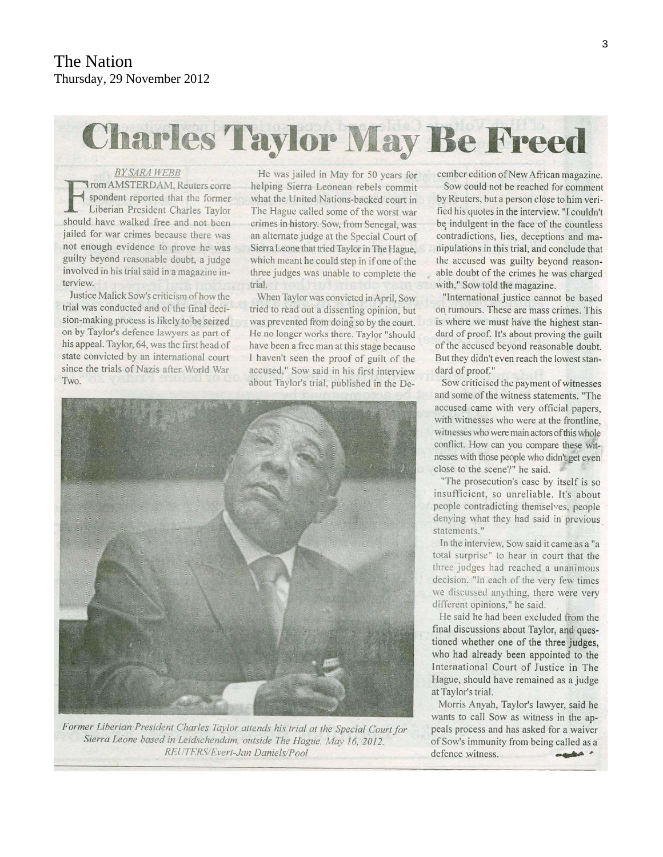# **Charles Taylor May Be Freed**

#### **BY SARA WEBB**

Trom AMSTERDAM, Reuters corre spondent reported that the former Liberian President Charles Taylor should have walked free and not been jailed for war crimes because there was not enough evidence to prove he was guilty beyond reasonable doubt, a judge involved in his trial said in a magazine interview.

Justice Malick Sow's criticism of how the trial was conducted and of the final decision-making process is likely to be seized on by Taylor's defence lawyers as part of his appeal. Taylor, 64, was the first head of state convicted by an international court since the trials of Nazis after World War Two.

He was jailed in May for 50 years for helping Sierra Leonean rebels commit what the United Nations-backed court in The Hague called some of the worst war crimes in history. Sow, from Senegal, was an alternate judge at the Special Court of Sierra Leone that tried Taylor in The Hague. which meant he could step in if one of the three judges was unable to complete the trial.

When Taylor was convicted in April, Sow tried to read out a dissenting opinion, but was prevented from doing so by the court. He no longer works there. Taylor "should have been a free man at this stage because I haven't seen the proof of guilt of the accused," Sow said in his first interview about Taylor's trial, published in the De-



Former Liberian President Charles Taylor attends his trial at the Special Court for Sierra Leone based in Leidschendam, outside The Hague, May 16, 2012. REUTERS/Evert-Jan Daniels/Pool

cember edition of New African magazine.

Sow could not be reached for comment by Reuters, but a person close to him verified his quotes in the interview. "I couldn't be indulgent in the face of the countless contradictions, lies, deceptions and manipulations in this trial, and conclude that the accused was guilty beyond reasonable doubt of the crimes he was charged with," Sow told the magazine.

"International justice cannot be based on rumours. These are mass crimes. This is where we must have the highest standard of proof. It's about proving the guilt of the accused beyond reasonable doubt. But they didn't even reach the lowest standard of proof."

Sow criticised the payment of witnesses and some of the witness statements. "The accused came with very official papers, with witnesses who were at the frontline. witnesses who were main actors of this whole conflict. How can you compare these witnesses with those people who didn't get even close to the scene?" he said.

"The prosecution's case by itself is so insufficient, so unreliable. It's about people contradicting themselves, people denying what they had said in previous statements."

In the interview, Sow said it came as a "a total surprise" to hear in court that the three judges had reached a unanimous decision. "In each of the very few times we discussed anything, there were very different opinions," he said.

He said he had been excluded from the final discussions about Taylor, and questioned whether one of the three judges, who had already been appointed to the International Court of Justice in The Hague, should have remained as a judge at Taylor's trial.

Morris Anyah, Taylor's lawyer, said he wants to call Sow as witness in the appeals process and has asked for a waiver of Sow's immunity from being called as a defence witness.  $-$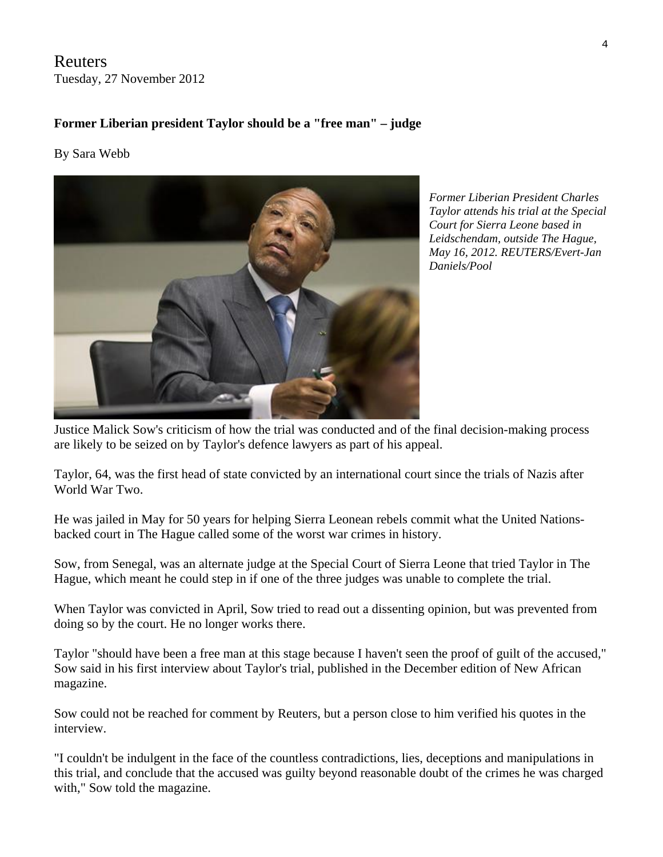Reuters Tuesday, 27 November 2012

#### **Former Liberian president Taylor should be a "free man" – judge**

#### By Sara Webb



*Former Liberian President Charles Taylor attends his trial at the Special Court for Sierra Leone based in Leidschendam, outside The Hague, May 16, 2012. REUTERS/Evert-Jan Daniels/Pool* 

Justice Malick Sow's criticism of how the trial was conducted and of the final decision-making process are likely to be seized on by Taylor's defence lawyers as part of his appeal.

Taylor, 64, was the first head of state convicted by an international court since the trials of Nazis after World War Two.

He was jailed in May for 50 years for helping Sierra Leonean rebels commit what the United Nationsbacked court in The Hague called some of the worst war crimes in history.

Sow, from Senegal, was an alternate judge at the Special Court of Sierra Leone that tried Taylor in The Hague, which meant he could step in if one of the three judges was unable to complete the trial.

When Taylor was convicted in April, Sow tried to read out a dissenting opinion, but was prevented from doing so by the court. He no longer works there.

Taylor "should have been a free man at this stage because I haven't seen the proof of guilt of the accused," Sow said in his first interview about Taylor's trial, published in the December edition of New African magazine.

Sow could not be reached for comment by Reuters, but a person close to him verified his quotes in the interview.

"I couldn't be indulgent in the face of the countless contradictions, lies, deceptions and manipulations in this trial, and conclude that the accused was guilty beyond reasonable doubt of the crimes he was charged with," Sow told the magazine.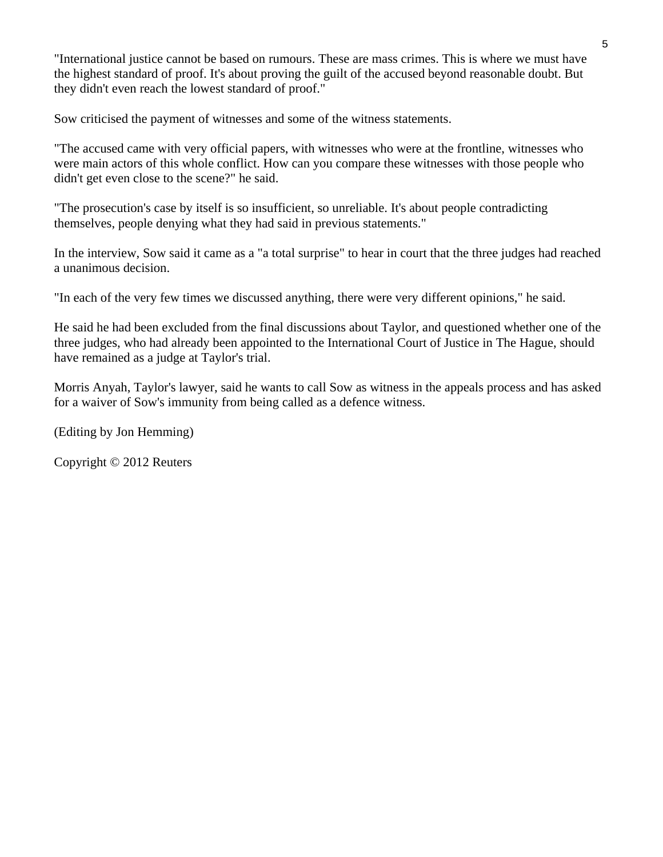"International justice cannot be based on rumours. These are mass crimes. This is where we must have the highest standard of proof. It's about proving the guilt of the accused beyond reasonable doubt. But they didn't even reach the lowest standard of proof."

Sow criticised the payment of witnesses and some of the witness statements.

"The accused came with very official papers, with witnesses who were at the frontline, witnesses who were main actors of this whole conflict. How can you compare these witnesses with those people who didn't get even close to the scene?" he said.

"The prosecution's case by itself is so insufficient, so unreliable. It's about people contradicting themselves, people denying what they had said in previous statements."

In the interview, Sow said it came as a "a total surprise" to hear in court that the three judges had reached a unanimous decision.

"In each of the very few times we discussed anything, there were very different opinions," he said.

He said he had been excluded from the final discussions about Taylor, and questioned whether one of the three judges, who had already been appointed to the International Court of Justice in The Hague, should have remained as a judge at Taylor's trial.

Morris Anyah, Taylor's lawyer, said he wants to call Sow as witness in the appeals process and has asked for a waiver of Sow's immunity from being called as a defence witness.

(Editing by Jon Hemming)

Copyright © 2012 Reuters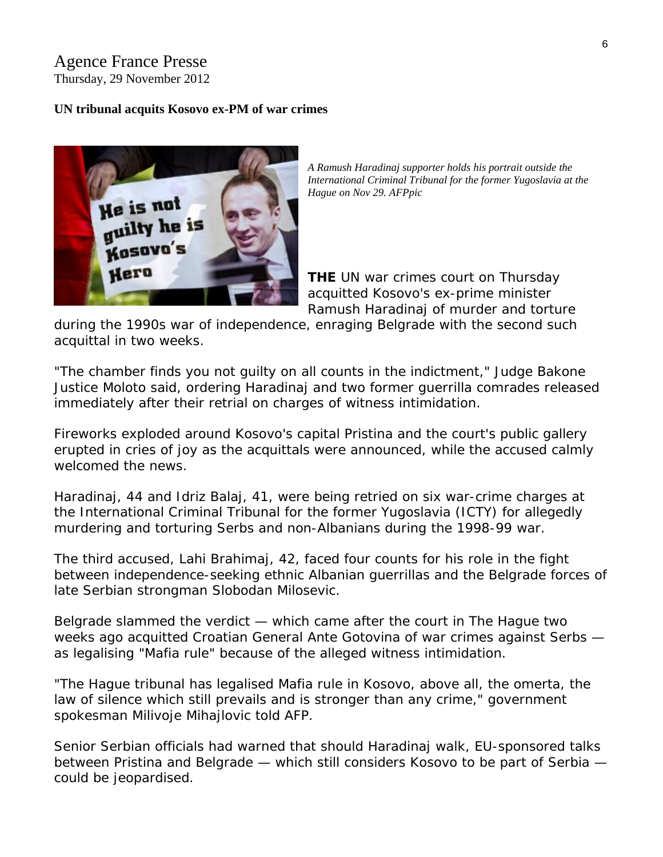#### Agence France Presse Thursday, 29 November 2012

#### **UN tribunal acquits Kosovo ex-PM of war crimes**



*A Ramush Haradinaj supporter holds his portrait outside the International Criminal Tribunal for the former Yugoslavia at the Hague on Nov 29. AFPpic* 

**THE** UN war crimes court on Thursday acquitted Kosovo's ex-prime minister Ramush Haradinaj of murder and torture

during the 1990s war of independence, enraging Belgrade with the second such acquittal in two weeks.

"The chamber finds you not guilty on all counts in the indictment," Judge Bakone Justice Moloto said, ordering Haradinaj and two former guerrilla comrades released immediately after their retrial on charges of witness intimidation.

Fireworks exploded around Kosovo's capital Pristina and the court's public gallery erupted in cries of joy as the acquittals were announced, while the accused calmly welcomed the news.

Haradinaj, 44 and Idriz Balaj, 41, were being retried on six war-crime charges at the International Criminal Tribunal for the former Yugoslavia (ICTY) for allegedly murdering and torturing Serbs and non-Albanians during the 1998-99 war.

The third accused, Lahi Brahimaj, 42, faced four counts for his role in the fight between independence-seeking ethnic Albanian guerrillas and the Belgrade forces of late Serbian strongman Slobodan Milosevic.

Belgrade slammed the verdict — which came after the court in The Hague two weeks ago acquitted Croatian General Ante Gotovina of war crimes against Serbs as legalising "Mafia rule" because of the alleged witness intimidation.

"The Hague tribunal has legalised Mafia rule in Kosovo, above all, the omerta, the law of silence which still prevails and is stronger than any crime," government spokesman Milivoje Mihajlovic told AFP.

Senior Serbian officials had warned that should Haradinaj walk, EU-sponsored talks between Pristina and Belgrade — which still considers Kosovo to be part of Serbia could be jeopardised.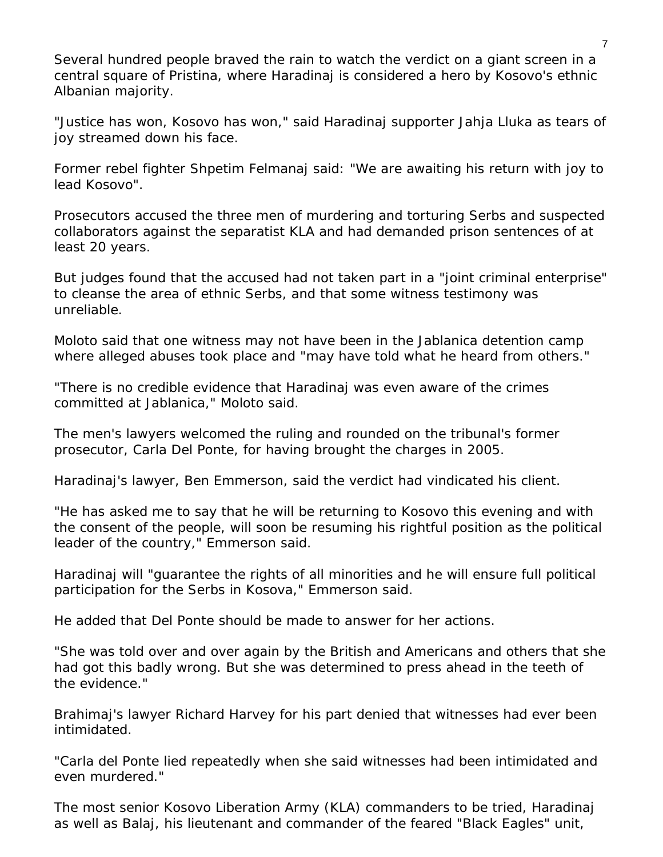Several hundred people braved the rain to watch the verdict on a giant screen in a central square of Pristina, where Haradinaj is considered a hero by Kosovo's ethnic Albanian majority.

"Justice has won, Kosovo has won," said Haradinaj supporter Jahja Lluka as tears of joy streamed down his face.

Former rebel fighter Shpetim Felmanaj said: "We are awaiting his return with joy to lead Kosovo".

Prosecutors accused the three men of murdering and torturing Serbs and suspected collaborators against the separatist KLA and had demanded prison sentences of at least 20 years.

But judges found that the accused had not taken part in a "joint criminal enterprise" to cleanse the area of ethnic Serbs, and that some witness testimony was unreliable.

Moloto said that one witness may not have been in the Jablanica detention camp where alleged abuses took place and "may have told what he heard from others."

"There is no credible evidence that Haradinaj was even aware of the crimes committed at Jablanica," Moloto said.

The men's lawyers welcomed the ruling and rounded on the tribunal's former prosecutor, Carla Del Ponte, for having brought the charges in 2005.

Haradinaj's lawyer, Ben Emmerson, said the verdict had vindicated his client.

"He has asked me to say that he will be returning to Kosovo this evening and with the consent of the people, will soon be resuming his rightful position as the political leader of the country," Emmerson said.

Haradinaj will "guarantee the rights of all minorities and he will ensure full political participation for the Serbs in Kosova," Emmerson said.

He added that Del Ponte should be made to answer for her actions.

"She was told over and over again by the British and Americans and others that she had got this badly wrong. But she was determined to press ahead in the teeth of the evidence."

Brahimaj's lawyer Richard Harvey for his part denied that witnesses had ever been intimidated.

"Carla del Ponte lied repeatedly when she said witnesses had been intimidated and even murdered."

The most senior Kosovo Liberation Army (KLA) commanders to be tried, Haradinaj as well as Balaj, his lieutenant and commander of the feared "Black Eagles" unit,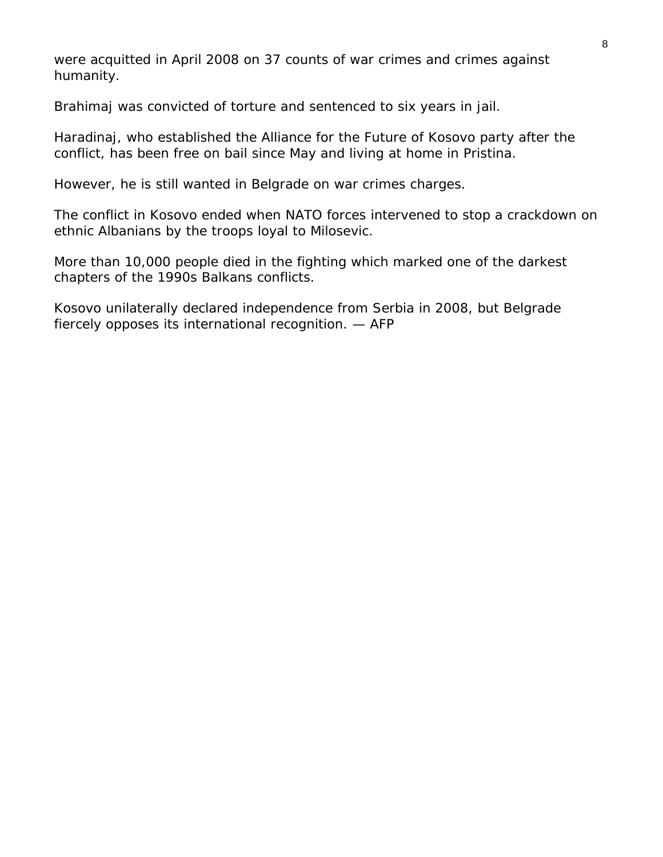were acquitted in April 2008 on 37 counts of war crimes and crimes against humanity.

Brahimaj was convicted of torture and sentenced to six years in jail.

Haradinaj, who established the Alliance for the Future of Kosovo party after the conflict, has been free on bail since May and living at home in Pristina.

However, he is still wanted in Belgrade on war crimes charges.

The conflict in Kosovo ended when NATO forces intervened to stop a crackdown on ethnic Albanians by the troops loyal to Milosevic.

More than 10,000 people died in the fighting which marked one of the darkest chapters of the 1990s Balkans conflicts.

Kosovo unilaterally declared independence from Serbia in 2008, but Belgrade fiercely opposes its international recognition. — *AFP*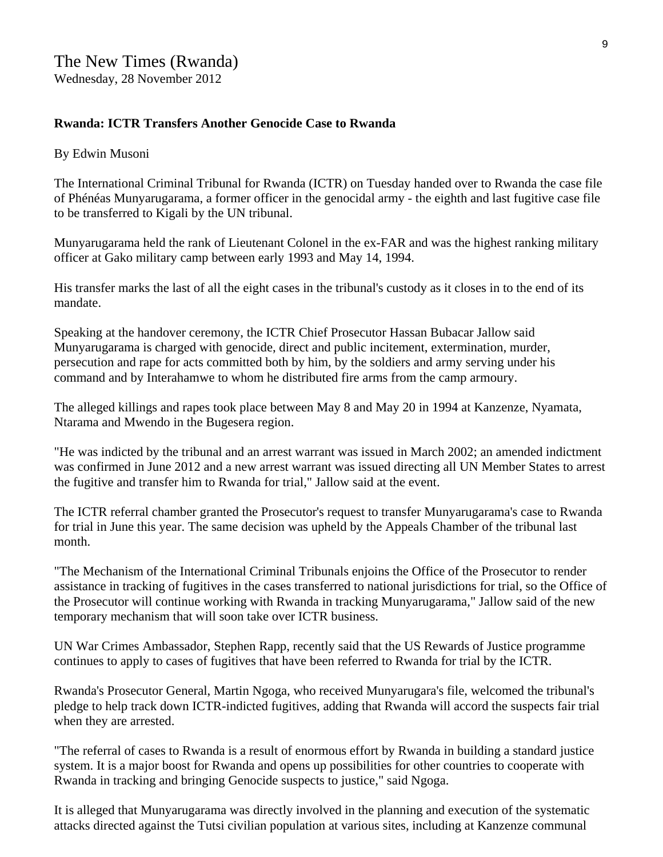#### **Rwanda: ICTR Transfers Another Genocide Case to Rwanda**

By Edwin Musoni

The International Criminal Tribunal for Rwanda (ICTR) on Tuesday handed over to Rwanda the case file of Phénéas Munyarugarama, a former officer in the genocidal army - the eighth and last fugitive case file to be transferred to Kigali by the UN tribunal.

Munyarugarama held the rank of Lieutenant Colonel in the ex-FAR and was the highest ranking military officer at Gako military camp between early 1993 and May 14, 1994.

His transfer marks the last of all the eight cases in the tribunal's custody as it closes in to the end of its mandate.

Speaking at the handover ceremony, the ICTR Chief Prosecutor Hassan Bubacar Jallow said Munyarugarama is charged with genocide, direct and public incitement, extermination, murder, persecution and rape for acts committed both by him, by the soldiers and army serving under his command and by Interahamwe to whom he distributed fire arms from the camp armoury.

The alleged killings and rapes took place between May 8 and May 20 in 1994 at Kanzenze, Nyamata, Ntarama and Mwendo in the Bugesera region.

"He was indicted by the tribunal and an arrest warrant was issued in March 2002; an amended indictment was confirmed in June 2012 and a new arrest warrant was issued directing all UN Member States to arrest the fugitive and transfer him to Rwanda for trial," Jallow said at the event.

The ICTR referral chamber granted the Prosecutor's request to transfer Munyarugarama's case to Rwanda for trial in June this year. The same decision was upheld by the Appeals Chamber of the tribunal last month.

"The Mechanism of the International Criminal Tribunals enjoins the Office of the Prosecutor to render assistance in tracking of fugitives in the cases transferred to national jurisdictions for trial, so the Office of the Prosecutor will continue working with Rwanda in tracking Munyarugarama," Jallow said of the new temporary mechanism that will soon take over ICTR business.

UN War Crimes Ambassador, Stephen Rapp, recently said that the US Rewards of Justice programme continues to apply to cases of fugitives that have been referred to Rwanda for trial by the ICTR.

Rwanda's Prosecutor General, Martin Ngoga, who received Munyarugara's file, welcomed the tribunal's pledge to help track down ICTR-indicted fugitives, adding that Rwanda will accord the suspects fair trial when they are arrested.

"The referral of cases to Rwanda is a result of enormous effort by Rwanda in building a standard justice system. It is a major boost for Rwanda and opens up possibilities for other countries to cooperate with Rwanda in tracking and bringing Genocide suspects to justice," said Ngoga.

It is alleged that Munyarugarama was directly involved in the planning and execution of the systematic attacks directed against the Tutsi civilian population at various sites, including at Kanzenze communal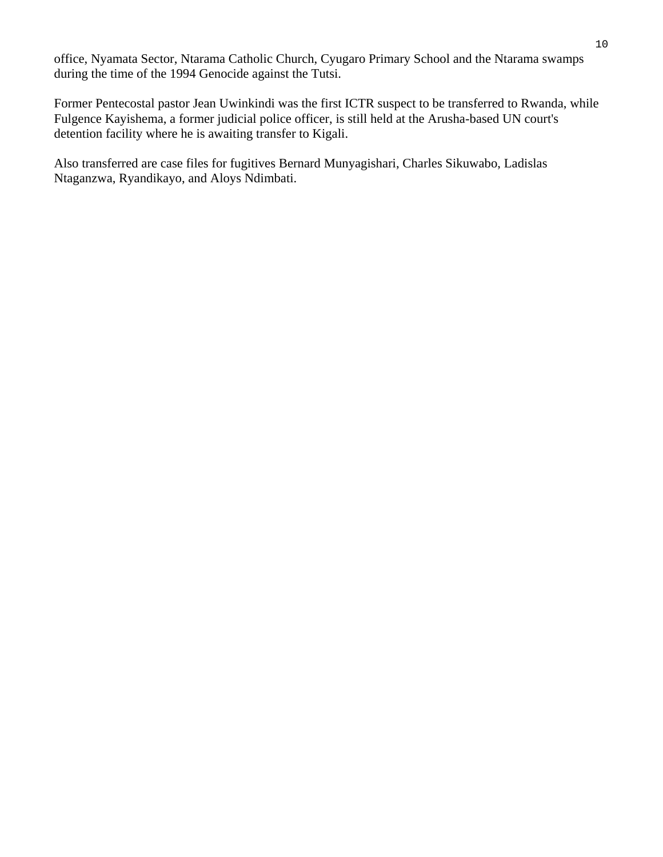office, Nyamata Sector, Ntarama Catholic Church, Cyugaro Primary School and the Ntarama swamps during the time of the 1994 Genocide against the Tutsi.

Former Pentecostal pastor Jean Uwinkindi was the first ICTR suspect to be transferred to Rwanda, while Fulgence Kayishema, a former judicial police officer, is still held at the Arusha-based UN court's detention facility where he is awaiting transfer to Kigali.

Also transferred are case files for fugitives Bernard Munyagishari, Charles Sikuwabo, Ladislas Ntaganzwa, Ryandikayo, and Aloys Ndimbati.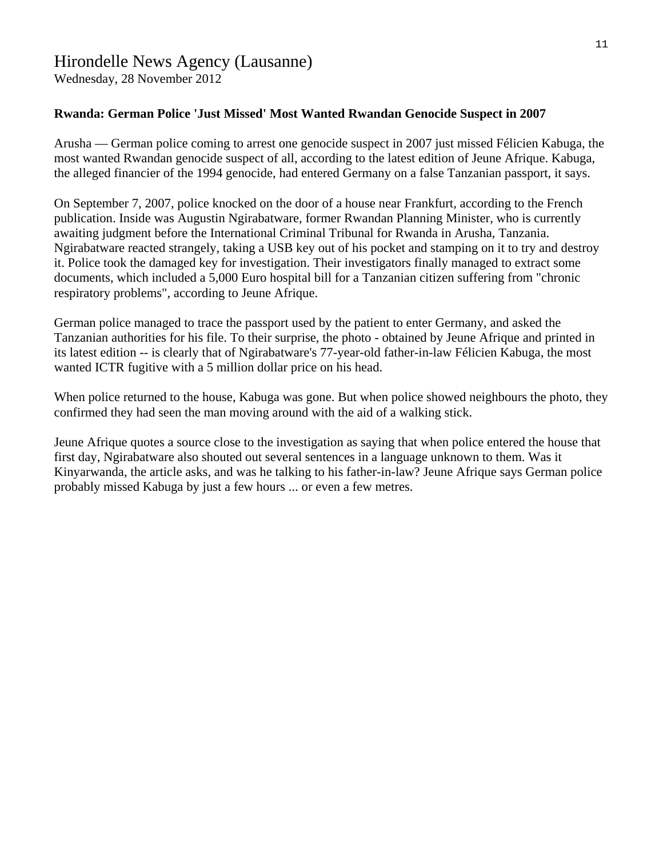### Hirondelle News Agency (Lausanne)

Wednesday, 28 November 2012

#### **Rwanda: German Police 'Just Missed' Most Wanted Rwandan Genocide Suspect in 2007**

Arusha — German police coming to arrest one genocide suspect in 2007 just missed Félicien Kabuga, the most wanted Rwandan genocide suspect of all, according to the latest edition of Jeune Afrique. Kabuga, the alleged financier of the 1994 genocide, had entered Germany on a false Tanzanian passport, it says.

On September 7, 2007, police knocked on the door of a house near Frankfurt, according to the French publication. Inside was Augustin Ngirabatware, former Rwandan Planning Minister, who is currently awaiting judgment before the International Criminal Tribunal for Rwanda in Arusha, Tanzania. Ngirabatware reacted strangely, taking a USB key out of his pocket and stamping on it to try and destroy it. Police took the damaged key for investigation. Their investigators finally managed to extract some documents, which included a 5,000 Euro hospital bill for a Tanzanian citizen suffering from "chronic respiratory problems", according to Jeune Afrique.

German police managed to trace the passport used by the patient to enter Germany, and asked the Tanzanian authorities for his file. To their surprise, the photo - obtained by Jeune Afrique and printed in its latest edition -- is clearly that of Ngirabatware's 77-year-old father-in-law Félicien Kabuga, the most wanted ICTR fugitive with a 5 million dollar price on his head.

When police returned to the house, Kabuga was gone. But when police showed neighbours the photo, they confirmed they had seen the man moving around with the aid of a walking stick.

Jeune Afrique quotes a source close to the investigation as saying that when police entered the house that first day, Ngirabatware also shouted out several sentences in a language unknown to them. Was it Kinyarwanda, the article asks, and was he talking to his father-in-law? Jeune Afrique says German police probably missed Kabuga by just a few hours ... or even a few metres.